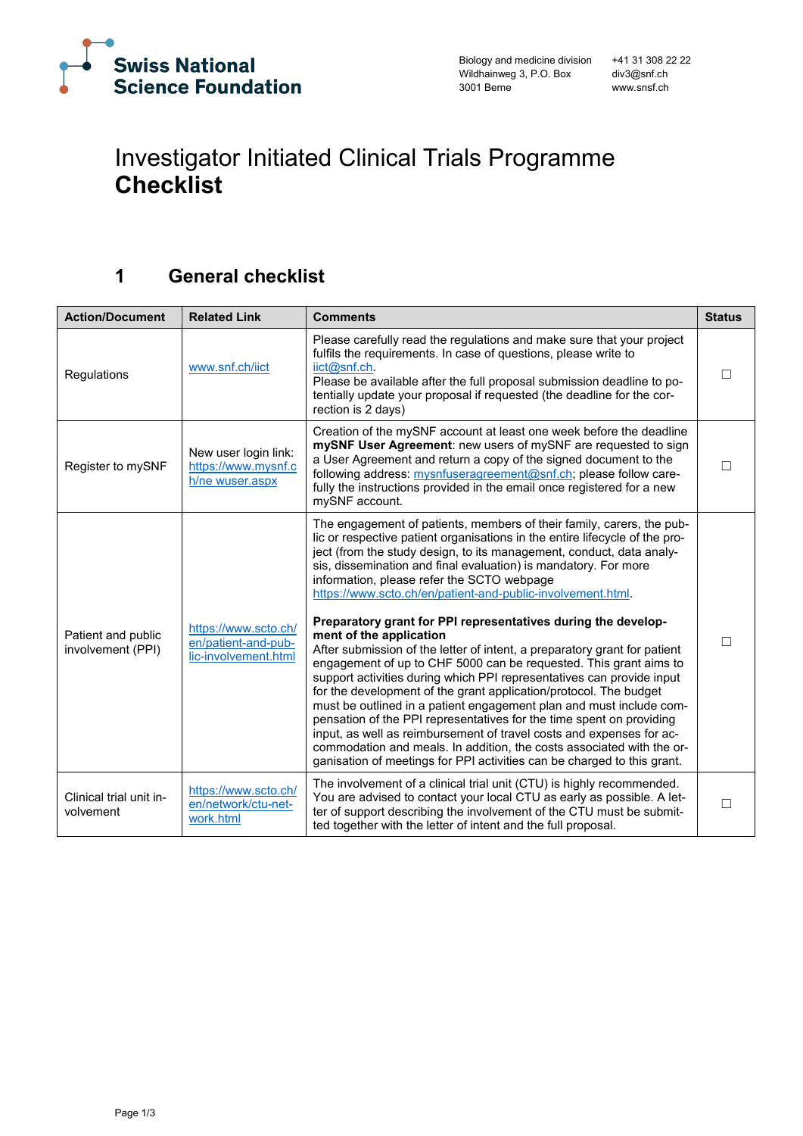

Biology and medicine division Wildhainweg 3, P.O. Box 3001 Berne

+41 31 308 22 22 div3@snf.ch www.snsf.ch

## Investigator Initiated Clinical Trials Programme **Checklist**

### **1 General checklist**

| <b>Action/Document</b>                  | <b>Related Link</b>                                                 | <b>Comments</b>                                                                                                                                                                                                                                                                                                                                                                                                                                                                                                                                                                                                                                                                                                                                                                                                                                                                                                                                                                                                                                                                                                                                                                     | <b>Status</b> |
|-----------------------------------------|---------------------------------------------------------------------|-------------------------------------------------------------------------------------------------------------------------------------------------------------------------------------------------------------------------------------------------------------------------------------------------------------------------------------------------------------------------------------------------------------------------------------------------------------------------------------------------------------------------------------------------------------------------------------------------------------------------------------------------------------------------------------------------------------------------------------------------------------------------------------------------------------------------------------------------------------------------------------------------------------------------------------------------------------------------------------------------------------------------------------------------------------------------------------------------------------------------------------------------------------------------------------|---------------|
| Regulations                             | www.snf.ch/iict                                                     | Please carefully read the regulations and make sure that your project<br>fulfils the requirements. In case of questions, please write to<br>iict@snf.ch.<br>Please be available after the full proposal submission deadline to po-<br>tentially update your proposal if requested (the deadline for the cor-<br>rection is 2 days)                                                                                                                                                                                                                                                                                                                                                                                                                                                                                                                                                                                                                                                                                                                                                                                                                                                  | $\Box$        |
| Register to mySNF                       | New user login link:<br>https://www.mysnf.c<br>h/ne wuser.aspx      | Creation of the mySNF account at least one week before the deadline<br>mySNF User Agreement: new users of mySNF are requested to sign<br>a User Agreement and return a copy of the signed document to the<br>following address: mysnfuseragreement@snf.ch; please follow care-<br>fully the instructions provided in the email once registered for a new<br>mySNF account.                                                                                                                                                                                                                                                                                                                                                                                                                                                                                                                                                                                                                                                                                                                                                                                                          | $\Box$        |
| Patient and public<br>involvement (PPI) | https://www.scto.ch/<br>en/patient-and-pub-<br>lic-involvement.html | The engagement of patients, members of their family, carers, the pub-<br>lic or respective patient organisations in the entire lifecycle of the pro-<br>ject (from the study design, to its management, conduct, data analy-<br>sis, dissemination and final evaluation) is mandatory. For more<br>information, please refer the SCTO webpage<br>https://www.scto.ch/en/patient-and-public-involvement.html.<br>Preparatory grant for PPI representatives during the develop-<br>ment of the application<br>After submission of the letter of intent, a preparatory grant for patient<br>engagement of up to CHF 5000 can be requested. This grant aims to<br>support activities during which PPI representatives can provide input<br>for the development of the grant application/protocol. The budget<br>must be outlined in a patient engagement plan and must include com-<br>pensation of the PPI representatives for the time spent on providing<br>input, as well as reimbursement of travel costs and expenses for ac-<br>commodation and meals. In addition, the costs associated with the or-<br>ganisation of meetings for PPI activities can be charged to this grant. | $\Box$        |
| Clinical trial unit in-<br>volvement    | https://www.scto.ch/<br>en/network/ctu-net-<br>work.html            | The involvement of a clinical trial unit (CTU) is highly recommended.<br>You are advised to contact your local CTU as early as possible. A let-<br>ter of support describing the involvement of the CTU must be submit-<br>ted together with the letter of intent and the full proposal.                                                                                                                                                                                                                                                                                                                                                                                                                                                                                                                                                                                                                                                                                                                                                                                                                                                                                            | $\Box$        |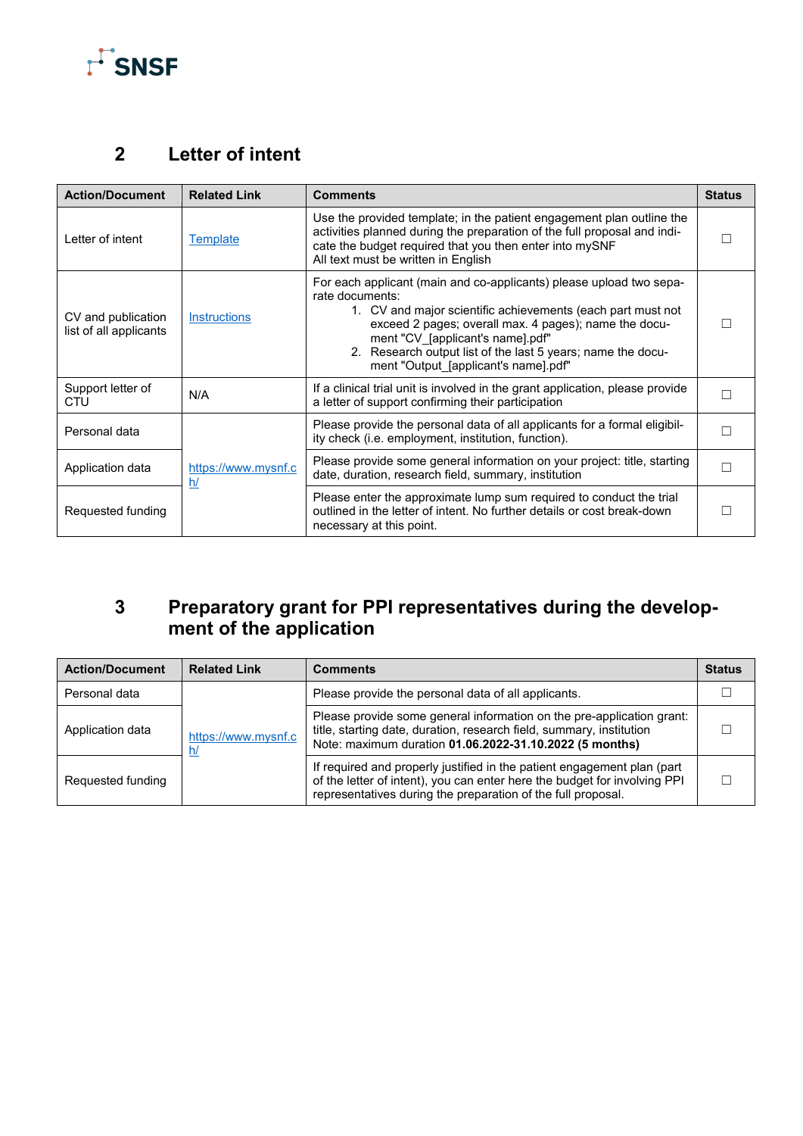# $\overline{r}^T$ SNSF

### **2 Letter of intent**

| <b>Action/Document</b>                       | <b>Related Link</b>       | <b>Comments</b>                                                                                                                                                                                                                                                                                                                                           | <b>Status</b> |
|----------------------------------------------|---------------------------|-----------------------------------------------------------------------------------------------------------------------------------------------------------------------------------------------------------------------------------------------------------------------------------------------------------------------------------------------------------|---------------|
| Letter of intent                             | <b>Template</b>           | Use the provided template; in the patient engagement plan outline the<br>activities planned during the preparation of the full proposal and indi-<br>cate the budget required that you then enter into mySNF<br>All text must be written in English                                                                                                       | П             |
| CV and publication<br>list of all applicants | <b>Instructions</b>       | For each applicant (main and co-applicants) please upload two sepa-<br>rate documents:<br>1. CV and major scientific achievements (each part must not<br>exceed 2 pages; overall max. 4 pages); name the docu-<br>ment "CV [applicant's name].pdf"<br>2. Research output list of the last 5 years; name the docu-<br>ment "Output [applicant's name].pdf" | Г             |
| Support letter of<br>CTU                     | N/A                       | If a clinical trial unit is involved in the grant application, please provide<br>a letter of support confirming their participation                                                                                                                                                                                                                       | П             |
| Personal data                                | https://www.mysnf.c<br>h/ | Please provide the personal data of all applicants for a formal eligibil-<br>ity check ( <i>i.e.</i> employment, institution, function).                                                                                                                                                                                                                  | П             |
| Application data                             |                           | Please provide some general information on your project: title, starting<br>date, duration, research field, summary, institution                                                                                                                                                                                                                          | П             |
| Requested funding                            |                           | Please enter the approximate lump sum required to conduct the trial<br>outlined in the letter of intent. No further details or cost break-down<br>necessary at this point.                                                                                                                                                                                |               |

#### **3 Preparatory grant for PPI representatives during the development of the application**

| <b>Action/Document</b> | <b>Related Link</b> | <b>Comments</b>                                                                                                                                                                                                      | <b>Status</b> |
|------------------------|---------------------|----------------------------------------------------------------------------------------------------------------------------------------------------------------------------------------------------------------------|---------------|
| Personal data          | https://www.mysnf.c | Please provide the personal data of all applicants.                                                                                                                                                                  |               |
| Application data       |                     | Please provide some general information on the pre-application grant:<br>title, starting date, duration, research field, summary, institution<br>Note: maximum duration 01.06.2022-31.10.2022 (5 months)             |               |
| Requested funding      |                     | If required and properly justified in the patient engagement plan (part<br>of the letter of intent), you can enter here the budget for involving PPI<br>representatives during the preparation of the full proposal. |               |